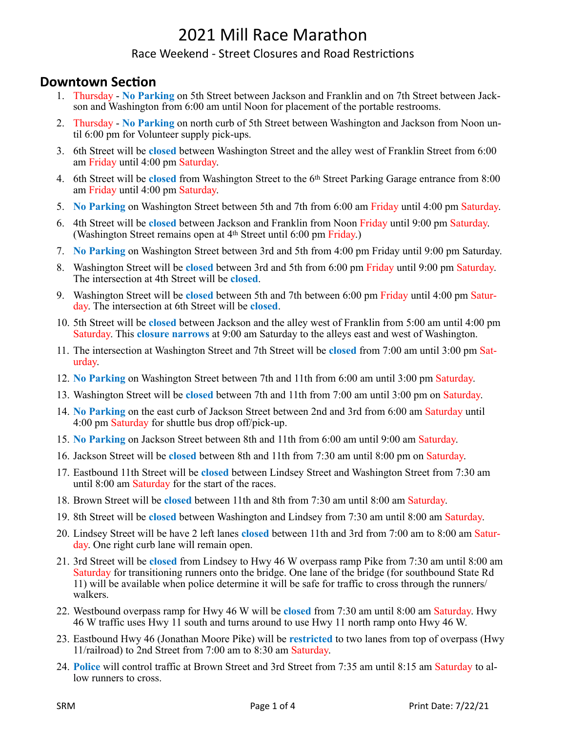#### Race Weekend - Street Closures and Road Restrictions

### **Downtown Section**

- 1. Thursday **No Parking** on 5th Street between Jackson and Franklin and on 7th Street between Jackson and Washington from 6:00 am until Noon for placement of the portable restrooms.
- 2. Thursday **No Parking** on north curb of 5th Street between Washington and Jackson from Noon until 6:00 pm for Volunteer supply pick-ups.
- 3. 6th Street will be **closed** between Washington Street and the alley west of Franklin Street from 6:00 am Friday until 4:00 pm Saturday.
- 4. 6th Street will be **closed** from Washington Street to the 6th Street Parking Garage entrance from 8:00 am Friday until 4:00 pm Saturday.
- 5. **No Parking** on Washington Street between 5th and 7th from 6:00 am Friday until 4:00 pm Saturday.
- 6. 4th Street will be **closed** between Jackson and Franklin from Noon Friday until 9:00 pm Saturday. (Washington Street remains open at 4th Street until 6:00 pm Friday.)
- 7. **No Parking** on Washington Street between 3rd and 5th from 4:00 pm Friday until 9:00 pm Saturday.
- 8. Washington Street will be **closed** between 3rd and 5th from 6:00 pm Friday until 9:00 pm Saturday. The intersection at 4th Street will be **closed**.
- 9. Washington Street will be **closed** between 5th and 7th between 6:00 pm Friday until 4:00 pm Saturday. The intersection at 6th Street will be **closed**.
- 10. 5th Street will be **closed** between Jackson and the alley west of Franklin from 5:00 am until 4:00 pm Saturday. This **closure narrows** at 9:00 am Saturday to the alleys east and west of Washington.
- 11. The intersection at Washington Street and 7th Street will be **closed** from 7:00 am until 3:00 pm Saturday.
- 12. **No Parking** on Washington Street between 7th and 11th from 6:00 am until 3:00 pm Saturday.
- 13. Washington Street will be **closed** between 7th and 11th from 7:00 am until 3:00 pm on Saturday.
- 14. **No Parking** on the east curb of Jackson Street between 2nd and 3rd from 6:00 am Saturday until 4:00 pm Saturday for shuttle bus drop off/pick-up.
- 15. **No Parking** on Jackson Street between 8th and 11th from 6:00 am until 9:00 am Saturday.
- 16. Jackson Street will be **closed** between 8th and 11th from 7:30 am until 8:00 pm on Saturday.
- 17. Eastbound 11th Street will be **closed** between Lindsey Street and Washington Street from 7:30 am until 8:00 am Saturday for the start of the races.
- 18. Brown Street will be **closed** between 11th and 8th from 7:30 am until 8:00 am Saturday.
- 19. 8th Street will be **closed** between Washington and Lindsey from 7:30 am until 8:00 am Saturday.
- 20. Lindsey Street will be have 2 left lanes **closed** between 11th and 3rd from 7:00 am to 8:00 am Saturday. One right curb lane will remain open.
- 21. 3rd Street will be **closed** from Lindsey to Hwy 46 W overpass ramp Pike from 7:30 am until 8:00 am Saturday for transitioning runners onto the bridge. One lane of the bridge (for southbound State Rd 11) will be available when police determine it will be safe for traffic to cross through the runners/ walkers.
- 22. Westbound overpass ramp for Hwy 46 W will be **closed** from 7:30 am until 8:00 am Saturday. Hwy 46 W traffic uses Hwy 11 south and turns around to use Hwy 11 north ramp onto Hwy 46 W.
- 23. Eastbound Hwy 46 (Jonathan Moore Pike) will be **restricted** to two lanes from top of overpass (Hwy 11/railroad) to 2nd Street from 7:00 am to 8:30 am Saturday.
- 24. **Police** will control traffic at Brown Street and 3rd Street from 7:35 am until 8:15 am Saturday to allow runners to cross.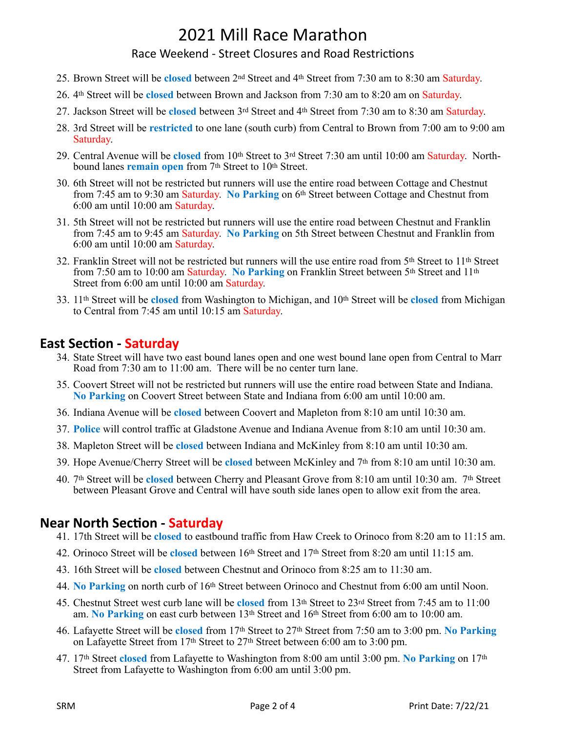#### Race Weekend - Street Closures and Road Restrictions

- 25. Brown Street will be **closed** between 2nd Street and 4th Street from 7:30 am to 8:30 am Saturday.
- 26. 4th Street will be **closed** between Brown and Jackson from 7:30 am to 8:20 am on Saturday.
- 27. Jackson Street will be **closed** between 3rd Street and 4th Street from 7:30 am to 8:30 am Saturday.
- 28. 3rd Street will be **restricted** to one lane (south curb) from Central to Brown from 7:00 am to 9:00 am Saturday.
- 29. Central Avenue will be **closed** from 10th Street to 3rd Street 7:30 am until 10:00 am Saturday. Northbound lanes **remain open** from 7th Street to 10th Street.
- 30. 6th Street will not be restricted but runners will use the entire road between Cottage and Chestnut from 7:45 am to 9:30 am Saturday. **No Parking** on 6th Street between Cottage and Chestnut from 6:00 am until 10:00 am Saturday.
- 31. 5th Street will not be restricted but runners will use the entire road between Chestnut and Franklin from 7:45 am to 9:45 am Saturday. **No Parking** on 5th Street between Chestnut and Franklin from 6:00 am until 10:00 am Saturday.
- 32. Franklin Street will not be restricted but runners will the use entire road from 5th Street to 11th Street from 7:50 am to 10:00 am Saturday. **No Parking** on Franklin Street between 5th Street and 11th Street from 6:00 am until 10:00 am Saturday.
- 33. 11th Street will be **closed** from Washington to Michigan, and 10th Street will be **closed** from Michigan to Central from 7:45 am until 10:15 am Saturday.

### **East Section - Saturday**

- 34. State Street will have two east bound lanes open and one west bound lane open from Central to Marr Road from  $7:30$  am to  $11:00$  am. There will be no center turn lane.
- 35. Coovert Street will not be restricted but runners will use the entire road between State and Indiana. **No Parking** on Coovert Street between State and Indiana from 6:00 am until 10:00 am.
- 36. Indiana Avenue will be **closed** between Coovert and Mapleton from 8:10 am until 10:30 am.
- 37. **Police** will control traffic at Gladstone Avenue and Indiana Avenue from 8:10 am until 10:30 am.
- 38. Mapleton Street will be **closed** between Indiana and McKinley from 8:10 am until 10:30 am.
- 39. Hope Avenue/Cherry Street will be **closed** between McKinley and 7th from 8:10 am until 10:30 am.
- 40. 7th Street will be **closed** between Cherry and Pleasant Grove from 8:10 am until 10:30 am. 7th Street between Pleasant Grove and Central will have south side lanes open to allow exit from the area.

### **Near North Section - Saturday**

- 41. 17th Street will be **closed** to eastbound traffic from Haw Creek to Orinoco from 8:20 am to 11:15 am.
- 42. Orinoco Street will be **closed** between 16th Street and 17th Street from 8:20 am until 11:15 am.
- 43. 16th Street will be **closed** between Chestnut and Orinoco from 8:25 am to 11:30 am.
- 44. **No Parking** on north curb of 16th Street between Orinoco and Chestnut from 6:00 am until Noon.
- 45. Chestnut Street west curb lane will be **closed** from 13th Street to 23rd Street from 7:45 am to 11:00 am. **No Parking** on east curb between 13th Street and 16th Street from 6:00 am to 10:00 am.
- 46. Lafayette Street will be **closed** from 17th Street to 27th Street from 7:50 am to 3:00 pm. **No Parking**  on Lafayette Street from 17<sup>th</sup> Street to 27<sup>th</sup> Street between 6:00 am to 3:00 pm.
- 47. 17th Street **closed** from Lafayette to Washington from 8:00 am until 3:00 pm. **No Parking** on 17th Street from Lafayette to Washington from 6:00 am until 3:00 pm.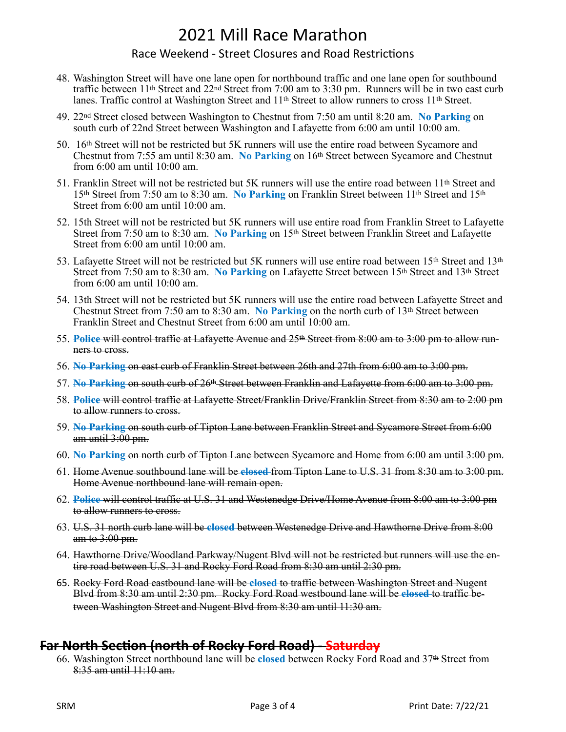#### Race Weekend - Street Closures and Road Restrictions

- 48. Washington Street will have one lane open for northbound traffic and one lane open for southbound traffic between 11th Street and 22nd Street from 7:00 am to 3:30 pm. Runners will be in two east curb lanes. Traffic control at Washington Street and 11th Street to allow runners to cross 11th Street.
- 49. 22nd Street closed between Washington to Chestnut from 7:50 am until 8:20 am. **No Parking** on south curb of 22nd Street between Washington and Lafayette from 6:00 am until 10:00 am.
- 50. 16th Street will not be restricted but 5K runners will use the entire road between Sycamore and Chestnut from 7:55 am until 8:30 am. **No Parking** on 16th Street between Sycamore and Chestnut from 6:00 am until 10:00 am.
- 51. Franklin Street will not be restricted but 5K runners will use the entire road between 11th Street and 15th Street from 7:50 am to 8:30 am. **No Parking** on Franklin Street between 11th Street and 15th Street from 6:00 am until 10:00 am.
- 52. 15th Street will not be restricted but 5K runners will use entire road from Franklin Street to Lafayette Street from 7:50 am to 8:30 am. **No Parking** on 15th Street between Franklin Street and Lafayette Street from 6:00 am until 10:00 am.
- 53. Lafayette Street will not be restricted but 5K runners will use entire road between 15th Street and 13th Street from 7:50 am to 8:30 am. **No Parking** on Lafayette Street between 15th Street and 13th Street from 6:00 am until 10:00 am.
- 54. 13th Street will not be restricted but 5K runners will use the entire road between Lafayette Street and Chestnut Street from 7:50 am to 8:30 am. **No Parking** on the north curb of 13th Street between Franklin Street and Chestnut Street from 6:00 am until 10:00 am.
- 55. **Police** will control traffic at Lafayette Avenue and 25th Street from 8:00 am to 3:00 pm to allow runners to cross.
- 56. **No Parking** on east curb of Franklin Street between 26th and 27th from 6:00 am to 3:00 pm.
- 57. **No Parking** on south curb of 26th Street between Franklin and Lafayette from 6:00 am to 3:00 pm.
- 58. **Police** will control traffic at Lafayette Street/Franklin Drive/Franklin Street from 8:30 am to 2:00 pm to allow runners to cross.
- 59. **No Parking** on south curb of Tipton Lane between Franklin Street and Sycamore Street from 6:00 am until  $3:00$  pm.
- 60. **No Parking** on north curb of Tipton Lane between Sycamore and Home from 6:00 am until 3:00 pm.
- 61. Home Avenue southbound lane will be **closed** from Tipton Lane to U.S. 31 from 8:30 am to 3:00 pm. Home Avenue northbound lane will remain open.
- 62. **Police** will control traffic at U.S. 31 and Westenedge Drive/Home Avenue from 8:00 am to 3:00 pm to allow runners to cross.
- 63. U.S. 31 north curb lane will be **closed** between Westenedge Drive and Hawthorne Drive from 8:00 am to 3:00 pm.
- 64. Hawthorne Drive/Woodland Parkway/Nugent Blvd will not be restricted but runners will use the entire road between U.S. 31 and Rocky Ford Road from 8:30 am until 2:30 pm.
- 65. Rocky Ford Road eastbound lane will be **closed** to traffic between Washington Street and Nugent Blvd from 8:30 am until 2:30 pm. Rocky Ford Road westbound lane will be **closed** to traffic between Washington Street and Nugent Blvd from 8:30 am until 11:30 am.

### **Far North Section (north of Rocky Ford Road) - Saturday**

66. Washington Street northbound lane will be **closed** between Rocky Ford Road and 37th Street from 8:35 am until 11:10 am.